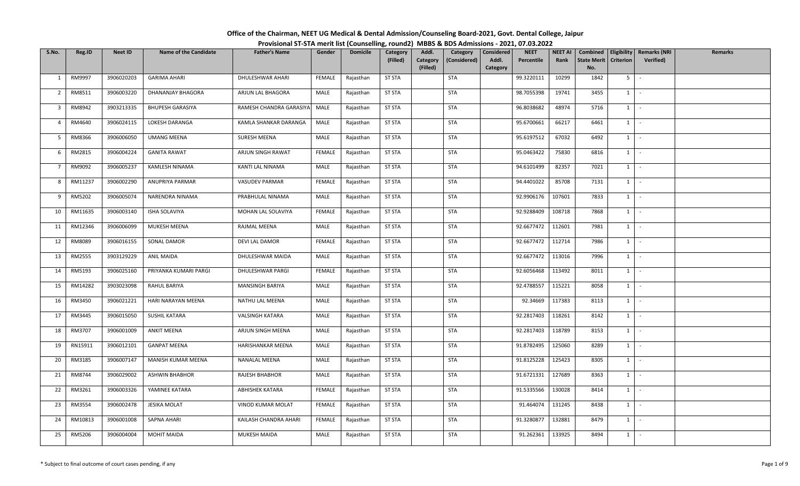| Office of the Chairman, NEET UG Medical & Dental Admission/Counseling Board-2021, Govt. Dental College, Jaipur |  |
|----------------------------------------------------------------------------------------------------------------|--|
| Provisional ST-STA merit list (Counselling, round2) MBBS & BDS Admissions - 2021, 07.03.2022                   |  |

| S.No.          | Reg.ID  | <b>Neet ID</b> | <b>Name of the Candidate</b> | <b>Father's Name</b>    | Gender        | <b>Domicile</b> | Category      | Addl.                | Category     | Considered | <b>NEET</b> | <b>NEET AI</b> | Combined                  | Eligibility    | <b>Remarks (NRI</b> | <b>Remarks</b> |
|----------------|---------|----------------|------------------------------|-------------------------|---------------|-----------------|---------------|----------------------|--------------|------------|-------------|----------------|---------------------------|----------------|---------------------|----------------|
|                |         |                |                              |                         |               |                 | (Filled)      | Category<br>(Filled) | (Considered) | Addl.      | Percentile  | Rank           | <b>State Merit</b><br>No. | Criterion      | Verified)           |                |
|                | RM9997  | 3906020203     | <b>GARIMA AHARI</b>          | DHULESHWAR AHARI        | FEMALE        |                 | <b>ST STA</b> |                      | <b>STA</b>   | Category   | 99.3220111  | 10299          | 1842                      | 5 <sub>1</sub> | $\sim$              |                |
| 1              |         |                |                              |                         |               | Rajasthan       |               |                      |              |            |             |                |                           |                |                     |                |
| $\overline{2}$ | RM8511  | 3906003220     | DHANANJAY BHAGORA            | ARJUN LAL BHAGORA       | MALE          | Rajasthan       | <b>ST STA</b> |                      | <b>STA</b>   |            | 98.7055398  | 19741          | 3455                      | $1 \quad$      | $\sim$              |                |
| 3              | RM8942  | 3903213335     | <b>BHUPESH GARASIYA</b>      | RAMESH CHANDRA GARASIYA | MALE          | Rajasthan       | <b>ST STA</b> |                      | STA          |            | 96.8038682  | 48974          | 5716                      | $1 \quad$      | $\sim$              |                |
| $\overline{4}$ | RM4640  | 3906024115     | LOKESH DARANGA               | KAMLA SHANKAR DARANGA   | MALE          | Rajasthan       | <b>ST STA</b> |                      | <b>STA</b>   |            | 95.6700661  | 66217          | 6461                      | $1 \mid$       | $\sim$              |                |
| 5              | RM8366  | 3906006050     | <b>UMANG MEENA</b>           | SURESH MEENA            | MALE          | Rajasthan       | <b>ST STA</b> |                      | <b>STA</b>   |            | 95.6197512  | 67032          | 6492                      | 1              | $\sim$              |                |
| 6              | RM2815  | 3906004224     | <b>GANITA RAWAT</b>          | ARJUN SINGH RAWAT       | FEMALE        | Rajasthan       | <b>ST STA</b> |                      | STA          |            | 95.0463422  | 75830          | 6816                      | $1 \vert -$    |                     |                |
| $\overline{7}$ | RM9092  | 3906005237     | KAMLESH NINAMA               | KANTI LAL NINAMA        | MALE          | Rajasthan       | <b>ST STA</b> |                      | <b>STA</b>   |            | 94.6101499  | 82357          | 7021                      | 1              | $\sim$              |                |
| 8              | RM11237 | 3906002290     | ANUPRIYA PARMAR              | VASUDEV PARMAR          | FEMALE        | Rajasthan       | <b>ST STA</b> |                      | <b>STA</b>   |            | 94.4401022  | 85708          | 7131                      | 1              | $\sim$              |                |
| 9              | RM5202  | 3906005074     | NARENDRA NINAMA              | PRABHULAL NINAMA        | MALE          | Rajasthan       | <b>ST STA</b> |                      | STA          |            | 92.9906176  | 107601         | 7833                      | $1 \mid$       | $\sim$              |                |
| 10             | RM11635 | 3906003140     | ISHA SOLAVIYA                | MOHAN LAL SOLAVIYA      | FEMALE        | Rajasthan       | <b>ST STA</b> |                      | <b>STA</b>   |            | 92.9288409  | 108718         | 7868                      | $1 \quad$      | $\sim$              |                |
| 11             | RM12346 | 3906006099     | MUKESH MEENA                 | RAJMAL MEENA            | MALE          | Rajasthan       | <b>ST STA</b> |                      | <b>STA</b>   |            | 92.6677472  | 112601         | 7981                      | 1              | $\sim$              |                |
| 12             | RM8089  | 3906016155     | <b>SONAL DAMOR</b>           | <b>DEVI LAL DAMOR</b>   | <b>FEMALE</b> | Rajasthan       | <b>ST STA</b> |                      | <b>STA</b>   |            | 92.6677472  | 112714         | 7986                      | $1\phantom{0}$ | $\sim$              |                |
| 13             | RM2555  | 3903129229     | <b>ANIL MAIDA</b>            | DHULESHWAR MAIDA        | MALE          | Rajasthan       | <b>ST STA</b> |                      | <b>STA</b>   |            | 92.6677472  | 113016         | 7996                      | 1              | $\sim$              |                |
| 14             | RM5193  | 3906025160     | PRIYANKA KUMARI PARGI        | DHULESHWAR PARGI        | FEMALE        | Rajasthan       | <b>ST STA</b> |                      | STA          |            | 92.6056468  | 113492         | 8011                      | $1 \quad$      | $\sim$              |                |
| 15             | RM14282 | 3903023098     | RAHUL BARIYA                 | <b>MANSINGH BARIYA</b>  | MALE          | Rajasthan       | <b>ST STA</b> |                      | <b>STA</b>   |            | 92.4788557  | 115221         | 8058                      | 1              | $\sim$              |                |
| 16             | RM3450  | 3906021221     | HARI NARAYAN MEENA           | NATHU LAL MEENA         | MALE          | Rajasthan       | <b>ST STA</b> |                      | <b>STA</b>   |            | 92.34669    | 117383         | 8113                      | 1              | $\sim$              |                |
| 17             | RM3445  | 3906015050     | SUSHIL KATARA                | <b>VALSINGH KATARA</b>  | MALE          | Rajasthan       | <b>ST STA</b> |                      | <b>STA</b>   |            | 92.2817403  | 118261         | 8142                      | 1              | $\sim$              |                |
| 18             | RM3707  | 3906001009     | <b>ANKIT MEENA</b>           | ARJUN SINGH MEENA       | MALE          | Rajasthan       | <b>ST STA</b> |                      | <b>STA</b>   |            | 92.2817403  | 118789         | 8153                      | $1$ $\cdot$    |                     |                |
| 19             | RN15911 | 3906012101     | <b>GANPAT MEENA</b>          | HARISHANKAR MEENA       | MALE          | Rajasthan       | <b>ST STA</b> |                      | <b>STA</b>   |            | 91.8782495  | 125060         | 8289                      | $1$ $-$        |                     |                |
| 20             | RM3185  | 3906007147     | MANISH KUMAR MEENA           | <b>NANALAL MEENA</b>    | MALE          | Rajasthan       | <b>ST STA</b> |                      | <b>STA</b>   |            | 91.8125228  | 125423         | 8305                      | 1              | $\sim$              |                |
| 21             | RM8744  | 3906029002     | <b>ASHWIN BHABHOR</b>        | <b>RAJESH BHABHOR</b>   | MALE          | Rajasthan       | <b>ST STA</b> |                      | STA          |            | 91.6721331  | 127689         | 8363                      | 1              | $\sim$              |                |
| 22             | RM3261  | 3906003326     | YAMINEE KATARA               | <b>ABHISHEK KATARA</b>  | FEMALE        | Rajasthan       | <b>ST STA</b> |                      | <b>STA</b>   |            | 91.5335566  | 130028         | 8414                      | $1 \cdot$      |                     |                |
| 23             | RM3554  | 3906002478     | <b>JESIKA MOLAT</b>          | VINOD KUMAR MOLAT       | FEMALE        | Rajasthan       | <b>ST STA</b> |                      | <b>STA</b>   |            | 91.464074   | 131245         | 8438                      | 1              | $\sim$              |                |
| 24             | RM10813 | 3906001008     | SAPNA AHARI                  | KAILASH CHANDRA AHARI   | FEMALE        | Rajasthan       | <b>ST STA</b> |                      | <b>STA</b>   |            | 91.3280877  | 132881         | 8479                      | $1 \quad$      | $\sim$              |                |
| 25             | RM5206  | 3906004004     | <b>MOHIT MAIDA</b>           | MUKESH MAIDA            | MALE          | Rajasthan       | <b>ST STA</b> |                      | <b>STA</b>   |            | 91.262361   | 133925         | 8494                      | $1 \quad$      | $\sim$              |                |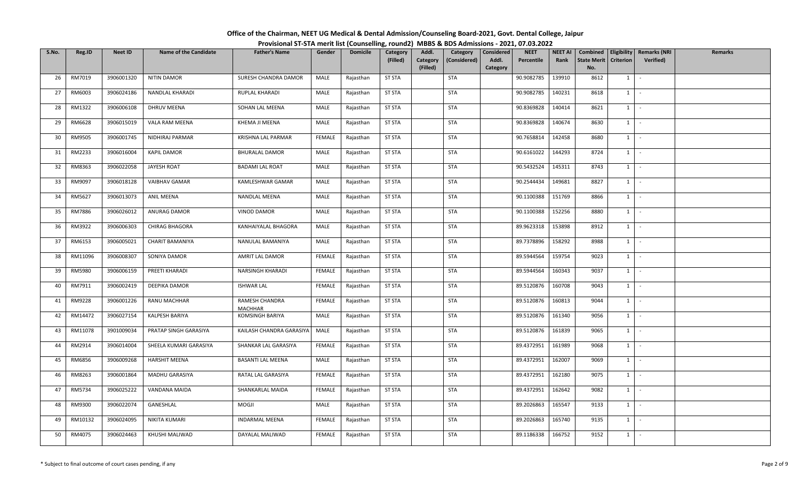| Office of the Chairman, NEET UG Medical & Dental Admission/Counseling Board-2021, Govt. Dental College, Jaipur |  |
|----------------------------------------------------------------------------------------------------------------|--|
| Provisional ST-STA merit list (Counselling, round2) MBBS & BDS Admissions - 2021, 07.03.2022                   |  |

| S.No. | Reg.ID  | <b>Neet ID</b> | <b>Name of the Candidate</b> | <b>Father's Name</b>             | Gender        | <b>Domicile</b> | Category      | Addl.                | Category     | Considered        | <b>NEET</b> | <b>NEET AI</b> | Combined                  |                  | Eligibility   Remarks (NRI | Remarks |
|-------|---------|----------------|------------------------------|----------------------------------|---------------|-----------------|---------------|----------------------|--------------|-------------------|-------------|----------------|---------------------------|------------------|----------------------------|---------|
|       |         |                |                              |                                  |               |                 | (Filled)      | Category<br>(Filled) | (Considered) | Addl.<br>Category | Percentile  | Rank           | <b>State Merit</b><br>No. | <b>Criterion</b> | Verified)                  |         |
| 26    | RM7019  | 3906001320     | NITIN DAMOR                  | SURESH CHANDRA DAMOR             | MALE          | Rajasthan       | <b>ST STA</b> |                      | <b>STA</b>   |                   | 90.9082785  | 139910         | 8612                      | 1                | $\sim$                     |         |
|       |         |                |                              |                                  |               |                 |               |                      |              |                   |             |                |                           |                  |                            |         |
| 27    | RM6003  | 3906024186     | NANDLAL KHARADI              | RUPLAL KHARADI                   | MALE          | Rajasthan       | <b>ST STA</b> |                      | <b>STA</b>   |                   | 90.9082785  | 140231         | 8618                      | $1 \quad$        | $\sim$                     |         |
| 28    | RM1322  | 3906006108     | DHRUV MEENA                  | SOHAN LAL MEENA                  | MALE          | Rajasthan       | <b>ST STA</b> |                      | <b>STA</b>   |                   | 90.8369828  | 140414         | 8621                      | $1 \mid$         | $\sim$ $-$                 |         |
| 29    | RM6628  | 3906015019     | VALA RAM MEENA               | KHEMA JI MEENA                   | MALE          | Rajasthan       | <b>ST STA</b> |                      | <b>STA</b>   |                   | 90.8369828  | 140674         | 8630                      | $1$ $\vdots$     |                            |         |
| 30    | RM9505  | 3906001745     | NIDHIRAJ PARMAR              | KRISHNA LAL PARMAR               | <b>FEMALE</b> | Rajasthan       | <b>ST STA</b> |                      | <b>STA</b>   |                   | 90.7658814  | 142458         | 8680                      | $1$ $\vdots$     |                            |         |
| 31    | RM2233  | 3906016004     | <b>KAPIL DAMOR</b>           | <b>BHURALAL DAMOR</b>            | MALE          | Rajasthan       | <b>ST STA</b> |                      | <b>STA</b>   |                   | 90.6161022  | 144293         | 8724                      | 1                | $\sim$ $-$                 |         |
| 32    | RM8363  | 3906022058     | JAYESH ROAT                  | <b>BADAMI LAL ROAT</b>           | MALE          | Rajasthan       | <b>ST STA</b> |                      | STA          |                   | 90.5432524  | 145311         | 8743                      | $1 \quad$        | $\sim$                     |         |
| 33    | RM9097  | 3906018128     | <b>VAIBHAV GAMAR</b>         | KAMLESHWAR GAMAR                 | MALE          | Rajasthan       | <b>ST STA</b> |                      | <b>STA</b>   |                   | 90.2544434  | 149681         | 8827                      | 1                | $\sim$                     |         |
| 34    | RM5627  | 3906013073     | <b>ANIL MEENA</b>            | NANDLAL MEENA                    | MALE          | Rajasthan       | <b>ST STA</b> |                      | <b>STA</b>   |                   | 90.1100388  | 151769         | 8866                      | 1                | $\sim$                     |         |
| 35    | RM7886  | 3906026012     | ANURAG DAMOR                 | VINOD DAMOR                      | MALE          | Rajasthan       | <b>ST STA</b> |                      | <b>STA</b>   |                   | 90.1100388  | 152256         | 8880                      | 1                | $\sim$                     |         |
| 36    | RM3922  | 3906006303     | CHIRAG BHAGORA               | KANHAIYALAL BHAGORA              | MALE          | Rajasthan       | <b>ST STA</b> |                      | STA          |                   | 89.9623318  | 153898         | 8912                      | $1$ $-$          |                            |         |
| 37    | RM6153  | 3906005021     | <b>CHARIT BAMANIYA</b>       | NANULAL BAMANIYA                 | MALE          | Rajasthan       | <b>ST STA</b> |                      | STA          |                   | 89.7378896  | 158292         | 8988                      | $1 \quad$        | $\sim$                     |         |
| 38    | RM11096 | 3906008307     | SONIYA DAMOR                 | AMRIT LAL DAMOR                  | <b>FEMALE</b> | Rajasthan       | <b>ST STA</b> |                      | STA          |                   | 89.5944564  | 159754         | 9023                      | 1                | $\sim$                     |         |
| 39    | RM5980  | 3906006159     | PREETI KHARADI               | NARSINGH KHARADI                 | FEMALE        | Rajasthan       | <b>ST STA</b> |                      | STA          |                   | 89.5944564  | 160343         | 9037                      | $1 \quad$        | $\sim$                     |         |
| 40    | RM7911  | 3906002419     | DEEPIKA DAMOR                | <b>ISHWAR LAL</b>                | FEMALE        | Rajasthan       | <b>ST STA</b> |                      | STA          |                   | 89.5120876  | 160708         | 9043                      | $1 \vert$        | $\sim$                     |         |
| 41    | RM9228  | 3906001226     | RANU MACHHAR                 | RAMESH CHANDRA<br><b>MACHHAR</b> | FEMALE        | Rajasthan       | <b>ST STA</b> |                      | <b>STA</b>   |                   | 89.5120876  | 160813         | 9044                      | 1                | $\sim$                     |         |
| 42    | RM14472 | 3906027154     | KALPESH BARIYA               | KOMSINGH BARIYA                  | MALE          | Rajasthan       | <b>ST STA</b> |                      | <b>STA</b>   |                   | 89.5120876  | 161340         | 9056                      | 1                | $\sim$                     |         |
| 43    | RM11078 | 3901009034     | PRATAP SINGH GARASIYA        | KAILASH CHANDRA GARASIYA         | MALE          | Rajasthan       | <b>ST STA</b> |                      | <b>STA</b>   |                   | 89.5120876  | 161839         | 9065                      | 1                | $\sim$                     |         |
| 44    | RM2914  | 3906014004     | SHEELA KUMARI GARASIYA       | SHANKAR LAL GARASIYA             | <b>FEMALE</b> | Rajasthan       | <b>ST STA</b> |                      | <b>STA</b>   |                   | 89.4372951  | 161989         | 9068                      |                  | $1 \cdot$                  |         |
| 45    | RM6856  | 3906009268     | <b>HARSHIT MEENA</b>         | <b>BASANTI LAL MEENA</b>         | MALE          | Rajasthan       | <b>ST STA</b> |                      | STA          |                   | 89.4372951  | 162007         | 9069                      | $1 \vert$        | $\sim$                     |         |
| 46    | RM8263  | 3906001864     | MADHU GARASIYA               | RATAL LAL GARASIYA               | <b>FEMALE</b> | Rajasthan       | <b>ST STA</b> |                      | <b>STA</b>   |                   | 89.4372951  | 162180         | 9075                      | $1 \quad$        | $\sim$                     |         |
| 47    | RM5734  | 3906025222     | VANDANA MAIDA                | SHANKARLAL MAIDA                 | <b>FEMALE</b> | Rajasthan       | <b>ST STA</b> |                      | <b>STA</b>   |                   | 89.4372951  | 162642         | 9082                      | 1                | $\sim$                     |         |
| 48    | RM9300  | 3906022074     | GANESHLAL                    | <b>MOGJI</b>                     | MALE          | Rajasthan       | <b>ST STA</b> |                      | <b>STA</b>   |                   | 89.2026863  | 165547         | 9133                      | $1 \quad$        | $\sim$                     |         |
| 49    | RM10132 | 3906024095     | NIKITA KUMARI                | <b>INDARMAL MEENA</b>            | FEMALE        | Rajasthan       | <b>ST STA</b> |                      | STA          |                   | 89.2026863  | 165740         | 9135                      | $1 \vert$        | $\sim$                     |         |
| 50    | RM4075  | 3906024463     | KHUSHI MALIWAD               | DAYALAL MALIWAD                  | <b>FEMALE</b> | Rajasthan       | <b>ST STA</b> |                      | <b>STA</b>   |                   | 89.1186338  | 166752         | 9152                      | $1 \quad$        | $\sim$                     |         |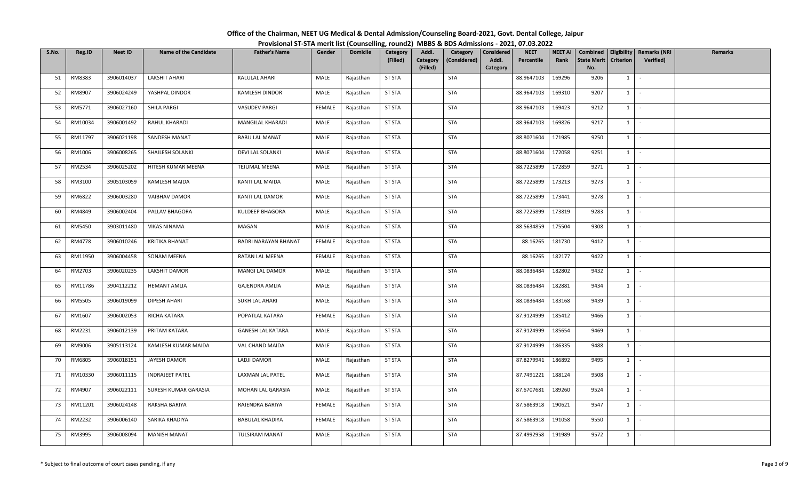| Office of the Chairman, NEET UG Medical & Dental Admission/Counseling Board-2021, Govt. Dental College, Jaipur |  |
|----------------------------------------------------------------------------------------------------------------|--|
| Provisional ST-STA merit list (Counselling, round2) MBBS & BDS Admissions - 2021, 07.03.2022                   |  |

| S.No. | Reg.ID        | <b>Neet ID</b> | <b>Name of the Candidate</b> | <b>Father's Name</b>        | Gender        | <b>Domicile</b> | Category      | Addl.                | Category     | Considered        | <b>NEET</b> | <b>NEET AI</b> | Combined                  | Eligibility      | <b>Remarks (NRI</b> | <b>Remarks</b> |
|-------|---------------|----------------|------------------------------|-----------------------------|---------------|-----------------|---------------|----------------------|--------------|-------------------|-------------|----------------|---------------------------|------------------|---------------------|----------------|
|       |               |                |                              |                             |               |                 | (Filled)      | Category<br>(Filled) | (Considered) | Addl.<br>Category | Percentile  | Rank           | <b>State Merit</b><br>No. | <b>Criterion</b> | Verified)           |                |
| 51    | RM8383        | 3906014037     | <b>LAKSHIT AHARI</b>         | <b>KALULAL AHARI</b>        | MALE          | Rajasthan       | <b>ST STA</b> |                      | <b>STA</b>   |                   | 88.9647103  | 169296         | 9206                      | $1 \quad$        | $\sim$              |                |
|       |               |                |                              |                             |               |                 |               |                      |              |                   |             |                |                           |                  |                     |                |
| 52    | RM8907        | 3906024249     | YASHPAL DINDOR               | <b>KAMLESH DINDOR</b>       | MALE          | Rajasthan       | <b>ST STA</b> |                      | <b>STA</b>   |                   | 88.9647103  | 169310         | 9207                      | $1 \vert$        | $\sim$              |                |
| 53    | RM5771        | 3906027160     | SHILA PARGI                  | <b>VASUDEV PARGI</b>        | FEMALE        | Rajasthan       | <b>ST STA</b> |                      | STA          |                   | 88.9647103  | 169423         | 9212                      | $1 \quad$        | $\sim$              |                |
| 54    | RM10034       | 3906001492     | RAHUL KHARADI                | MANGILAL KHARADI            | MALE          | Rajasthan       | <b>ST STA</b> |                      | <b>STA</b>   |                   | 88.9647103  | 169826         | 9217                      | $1 \vert -$      |                     |                |
| 55    | RM11797       | 3906021198     | SANDESH MANAT                | <b>BABU LAL MANAT</b>       | MALE          | Rajasthan       | <b>ST STA</b> |                      | <b>STA</b>   |                   | 88.8071604  | 171985         | 9250                      | 1                | $\sim$              |                |
| 56    | RM1006        | 3906008265     | SHAILESH SOLANKI             | DEVI LAL SOLANKI            | MALE          | Rajasthan       | <b>ST STA</b> |                      | STA          |                   | 88.8071604  | 172058         | 9251                      | $1 \mid -$       |                     |                |
| 57    | RM2534        | 3906025202     | HITESH KUMAR MEENA           | <b>TEJUMAL MEENA</b>        | MALE          | Rajasthan       | <b>ST STA</b> |                      | STA          |                   | 88.7225899  | 172859         | 9271                      | 1                | $\sim$              |                |
| 58    | RM3100        | 3905103059     | <b>KAMLESH MAIDA</b>         | KANTI LAL MAIDA             | MALE          | Rajasthan       | <b>ST STA</b> |                      | <b>STA</b>   |                   | 88.7225899  | 173213         | 9273                      | 1                | $\sim$ $-$          |                |
| 59    | RM6822        | 3906003280     | <b>VAIBHAV DAMOR</b>         | KANTI LAL DAMOR             | MALE          | Rajasthan       | <b>ST STA</b> |                      | STA          |                   | 88.7225899  | 173441         | 9278                      | $1 \mid$         | $\sim$              |                |
| 60    | RM4849        | 3906002404     | PALLAV BHAGORA               | KULDEEP BHAGORA             | MALE          | Rajasthan       | <b>ST STA</b> |                      | <b>STA</b>   |                   | 88.7225899  | 173819         | 9283                      | $1 \quad$        | $\sim$              |                |
| 61    | RM5450        | 3903011480     | <b>VIKAS NINAMA</b>          | MAGAN                       | MALE          | Rajasthan       | <b>ST STA</b> |                      | <b>STA</b>   |                   | 88.5634859  | 175504         | 9308                      | $1 \mid$         | $\sim$              |                |
| 62    | RM4778        | 3906010246     | <b>KRITIKA BHANAT</b>        | <b>BADRI NARAYAN BHANAT</b> | <b>FEMALE</b> | Rajasthan       | <b>ST STA</b> |                      | STA          |                   | 88.16265    | 181730         | 9412                      | $1\phantom{0}$   | $\sim$              |                |
| 63    | RM11950       | 3906004458     | SONAM MEENA                  | RATAN LAL MEENA             | <b>FEMALE</b> | Rajasthan       | <b>ST STA</b> |                      | <b>STA</b>   |                   | 88.16265    | 182177         | 9422                      | 1                | $\sim$              |                |
| 64    | RM2703        | 3906020235     | LAKSHIT DAMOR                | MANGI LAL DAMOR             | MALE          | Rajasthan       | <b>ST STA</b> |                      | STA          |                   | 88.0836484  | 182802         | 9432                      | $1 \vert$        | $\sim$              |                |
| 65    | RM11786       | 3904112212     | <b>HEMANT AMLIA</b>          | <b>GAJENDRA AMLIA</b>       | MALE          | Rajasthan       | <b>ST STA</b> |                      | <b>STA</b>   |                   | 88.0836484  | 182881         | 9434                      | 1                | $\sim$              |                |
| 66    | <b>RM5505</b> | 3906019099     | DIPESH AHARI                 | <b>SUKH LAL AHARI</b>       | MALE          | Rajasthan       | <b>ST STA</b> |                      | <b>STA</b>   |                   | 88.0836484  | 183168         | 9439                      | $1 \vert$        | $\sim$              |                |
| 67    | RM1607        | 3906002053     | RICHA KATARA                 | POPATLAL KATARA             | FEMALE        | Rajasthan       | <b>ST STA</b> |                      | <b>STA</b>   |                   | 87.9124999  | 185412         | 9466                      | 1                | $\sim$              |                |
| 68    | RM2231        | 3906012139     | PRITAM KATARA                | <b>GANESH LAL KATARA</b>    | MALE          | Rajasthan       | <b>ST STA</b> |                      | <b>STA</b>   |                   | 87.9124999  | 185654         | 9469                      | $1$ $\cdot$      |                     |                |
| 69    | RM9006        | 3905113124     | KAMLESH KUMAR MAIDA          | VAL CHAND MAIDA             | MALE          | Rajasthan       | <b>ST STA</b> |                      | <b>STA</b>   |                   | 87.9124999  | 186335         | 9488                      | $1 \mid$         | $\sim$              |                |
| 70    | RM6805        | 3906018151     | JAYESH DAMOR                 | LADJI DAMOR                 | MALE          | Rajasthan       | <b>ST STA</b> |                      | <b>STA</b>   |                   | 87.8279941  | 186892         | 9495                      | $1 \quad$        | $\sim$              |                |
| 71    | RM10330       | 3906011115     | <b>INDRAJEET PATEL</b>       | LAXMAN LAL PATEL            | MALE          | Rajasthan       | <b>ST STA</b> |                      | STA          |                   | 87.7491221  | 188124         | 9508                      | 1                | $\sim$              |                |
| 72    | RM4907        | 3906022111     | SURESH KUMAR GARASIA         | MOHAN LAL GARASIA           | MALE          | Rajasthan       | <b>ST STA</b> |                      | <b>STA</b>   |                   | 87.6707681  | 189260         | 9524                      | $1 \cdot$        |                     |                |
| 73    | RM11201       | 3906024148     | RAKSHA BARIYA                | RAJENDRA BARIYA             | FEMALE        | Rajasthan       | <b>ST STA</b> |                      | <b>STA</b>   |                   | 87.5863918  | 190621         | 9547                      | 1                | $\sim$              |                |
| 74    | RM2232        | 3906006140     | SARIKA KHADIYA               | <b>BABULAL KHADIYA</b>      | FEMALE        | Rajasthan       | <b>ST STA</b> |                      | <b>STA</b>   |                   | 87.5863918  | 191058         | 9550                      | $1 \quad$        | $\sim$              |                |
| 75    | RM3995        | 3906008094     | <b>MANISH MANAT</b>          | <b>TULSIRAM MANAT</b>       | MALE          | Rajasthan       | <b>ST STA</b> |                      | <b>STA</b>   |                   | 87.4992958  | 191989         | 9572                      | $1 \quad$        | $\sim$              |                |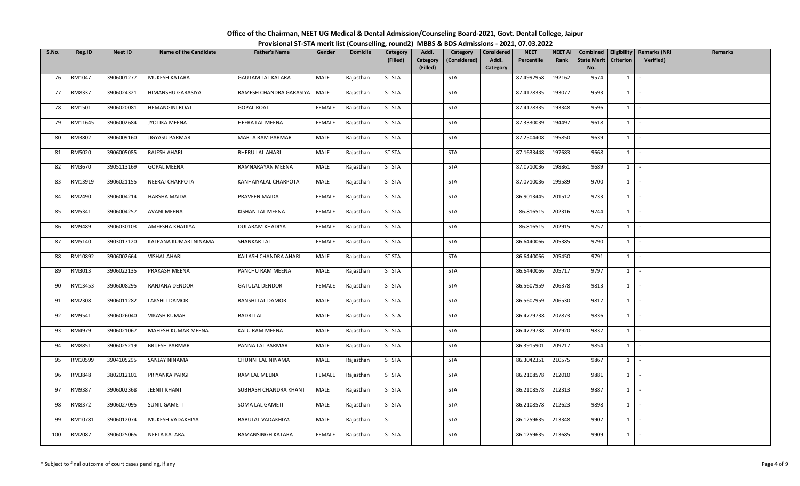| Office of the Chairman, NEET UG Medical & Dental Admission/Counseling Board-2021, Govt. Dental College, Jaipur |  |
|----------------------------------------------------------------------------------------------------------------|--|
| Provisional ST-STA merit list (Counselling, round2) MBBS & BDS Admissions - 2021, 07.03.2022                   |  |

| S.No. | Reg.ID  | <b>Neet ID</b> | <b>Name of the Candidate</b> | <b>Father's Name</b>     | Gender        | <b>Domicile</b> | Category      | Addl.                | Category     | Considered        | <b>NEET</b> | <b>NEET AI</b> | Combined                  |                  | <b>Eligibility   Remarks (NRI</b> | Remarks |
|-------|---------|----------------|------------------------------|--------------------------|---------------|-----------------|---------------|----------------------|--------------|-------------------|-------------|----------------|---------------------------|------------------|-----------------------------------|---------|
|       |         |                |                              |                          |               |                 | (Filled)      | Category<br>(Filled) | (Considered) | Addl.<br>Category | Percentile  | Rank           | <b>State Merit</b><br>No. | <b>Criterion</b> | Verified)                         |         |
| 76    | RM1047  | 3906001277     | MUKESH KATARA                | <b>GAUTAM LAL KATARA</b> | MALE          | Rajasthan       | <b>ST STA</b> |                      | <b>STA</b>   |                   | 87.4992958  | 192162         | 9574                      | $1 \vert$        | $\sim$                            |         |
| 77    | RM8337  | 3906024321     | HIMANSHU GARASIYA            | RAMESH CHANDRA GARASIYA  | MALE          | Rajasthan       | <b>ST STA</b> |                      | STA          |                   | 87.4178335  | 193077         | 9593                      | $1 \quad$        | $\sim$                            |         |
| 78    | RM1501  | 3906020081     | <b>HEMANGINI ROAT</b>        | <b>GOPAL ROAT</b>        | <b>FEMALE</b> | Rajasthan       | <b>ST STA</b> |                      | <b>STA</b>   |                   | 87.4178335  | 193348         | 9596                      |                  | $1 \cdot$                         |         |
| 79    | RM11645 | 3906002684     | JYOTIKA MEENA                | <b>HEERA LAL MEENA</b>   | FEMALE        | Rajasthan       | <b>ST STA</b> |                      | <b>STA</b>   |                   | 87.3330039  | 194497         | 9618                      |                  | $1$ $-$                           |         |
| 80    | RM3802  | 3906009160     | JIGYASU PARMAR               | MARTA RAM PARMAR         | MALE          | Rajasthan       | <b>ST STA</b> |                      | <b>STA</b>   |                   | 87.2504408  | 195850         | 9639                      |                  | $1 \mid -$                        |         |
| 81    | RM5020  | 3906005085     | RAJESH AHARI                 | <b>BHERU LAL AHARI</b>   | MALE          | Rajasthan       | <b>ST STA</b> |                      | <b>STA</b>   |                   | 87.1633448  | 197683         | 9668                      | $1 \mid$         | $\sim$                            |         |
| 82    | RM3670  | 3905113169     | <b>GOPAL MEENA</b>           | RAMNARAYAN MEENA         | MALE          | Rajasthan       | ST STA        |                      | STA          |                   | 87.0710036  | 198861         | 9689                      | $1 \quad$        | $\sim$                            |         |
| 83    | RM13919 | 3906021155     | NEERAJ CHARPOTA              | KANHAIYALAL CHARPOTA     | MALE          | Rajasthan       | <b>ST STA</b> |                      | <b>STA</b>   |                   | 87.0710036  | 199589         | 9700                      | 1                | $\sim$                            |         |
| 84    | RM2490  | 3906004214     | <b>HARSHA MAIDA</b>          | PRAVEEN MAIDA            | FEMALE        | Rajasthan       | <b>ST STA</b> |                      | <b>STA</b>   |                   | 86.9013445  | 201512         | 9733                      |                  | $1$ $-$                           |         |
| 85    | RM5341  | 3906004257     | AVANI MEENA                  | KISHAN LAL MEENA         | <b>FEMALE</b> | Rajasthan       | <b>ST STA</b> |                      | <b>STA</b>   |                   | 86.816515   | 202316         | 9744                      | $1 \quad$        | $\sim$ $-$                        |         |
| 86    | RM9489  | 3906030103     | AMEESHA KHADIYA              | DULARAM KHADIYA          | FEMALE        | Rajasthan       | <b>ST STA</b> |                      | <b>STA</b>   |                   | 86.816515   | 202915         | 9757                      |                  | $1 \cdot$                         |         |
| 87    | RM5140  | 3903017120     | KALPANA KUMARI NINAMA        | <b>SHANKAR LAL</b>       | <b>FEMALE</b> | Rajasthan       | <b>ST STA</b> |                      | <b>STA</b>   |                   | 86.6440066  | 205385         | 9790                      |                  | $1$ $\vert$ $\vert$               |         |
| 88    | RM10892 | 3906002664     | <b>VISHAL AHARI</b>          | KAILASH CHANDRA AHARI    | MALE          | Rajasthan       | <b>ST STA</b> |                      | <b>STA</b>   |                   | 86.6440066  | 205450         | 9791                      | 1                | $\sim$                            |         |
| 89    | RM3013  | 3906022135     | PRAKASH MEENA                | PANCHU RAM MEENA         | MALE          | Rajasthan       | <b>ST STA</b> |                      | <b>STA</b>   |                   | 86.6440066  | 205717         | 9797                      | $1 \quad$        | $\sim$                            |         |
| 90    | RM13453 | 3906008295     | RANJANA DENDOR               | <b>GATULAL DENDOR</b>    | FEMALE        | Rajasthan       | <b>ST STA</b> |                      | STA          |                   | 86.5607959  | 206378         | 9813                      | $1 \quad$        | $\sim$ $-$                        |         |
| 91    | RM2308  | 3906011282     | LAKSHIT DAMOR                | <b>BANSHI LAL DAMOR</b>  | MALE          | Rajasthan       | <b>ST STA</b> |                      | <b>STA</b>   |                   | 86.5607959  | 206530         | 9817                      | $1 \mid$         | $\sim$ $-$                        |         |
| 92    | RM9541  | 3906026040     | <b>VIKASH KUMAR</b>          | <b>BADRILAL</b>          | MALE          | Rajasthan       | <b>ST STA</b> |                      | <b>STA</b>   |                   | 86.4779738  | 207873         | 9836                      | $1 \mid$         | $\sim$                            |         |
| 93    | RM4979  | 3906021067     | MAHESH KUMAR MEENA           | KALU RAM MEENA           | MALE          | Rajasthan       | <b>ST STA</b> |                      | <b>STA</b>   |                   | 86.4779738  | 207920         | 9837                      | 1                | $\sim$                            |         |
| 94    | RM8851  | 3906025219     | <b>BRIJESH PARMAR</b>        | PANNA LAL PARMAR         | MALE          | Rajasthan       | <b>ST STA</b> |                      | <b>STA</b>   |                   | 86.3915901  | 209217         | 9854                      |                  | $1 \cdot$                         |         |
| 95    | RM10599 | 3904105295     | SANJAY NINAMA                | CHUNNI LAL NINAMA        | MALE          | Rajasthan       | <b>ST STA</b> |                      | <b>STA</b>   |                   | 86.3042351  | 210575         | 9867                      | 1                | $\sim$                            |         |
| 96    | RM3848  | 3802012101     | PRIYANKA PARGI               | RAM LAL MEENA            | <b>FEMALE</b> | Rajasthan       | <b>ST STA</b> |                      | <b>STA</b>   |                   | 86.2108578  | 212010         | 9881                      |                  | $1 \mid -$                        |         |
| 97    | RM9387  | 3906002368     | <b>JEENIT KHANT</b>          | SUBHASH CHANDRA KHANT    | MALE          | Rajasthan       | <b>ST STA</b> |                      | <b>STA</b>   |                   | 86.2108578  | 212313         | 9887                      |                  | $1$ $-$                           |         |
| 98    | RM8372  | 3906027095     | SUNIL GAMETI                 | SOMA LAL GAMETI          | MALE          | Rajasthan       | <b>ST STA</b> |                      | STA          |                   | 86.2108578  | 212623         | 9898                      | $1 \quad$        | $\sim$ $-$                        |         |
| 99    | RM10781 | 3906012074     | MUKESH VADAKHIYA             | BABULAL VADAKHIYA        | MALE          | Rajasthan       | <b>ST</b>     |                      | STA          |                   | 86.1259635  | 213348         | 9907                      | $1 \quad$        | $\sim$                            |         |
| 100   | RM2087  | 3906025065     | NEETA KATARA                 | RAMANSINGH KATARA        | FEMALE        | Rajasthan       | <b>ST STA</b> |                      | <b>STA</b>   |                   | 86.1259635  | 213685         | 9909                      | $1 \quad$        | $\sim$                            |         |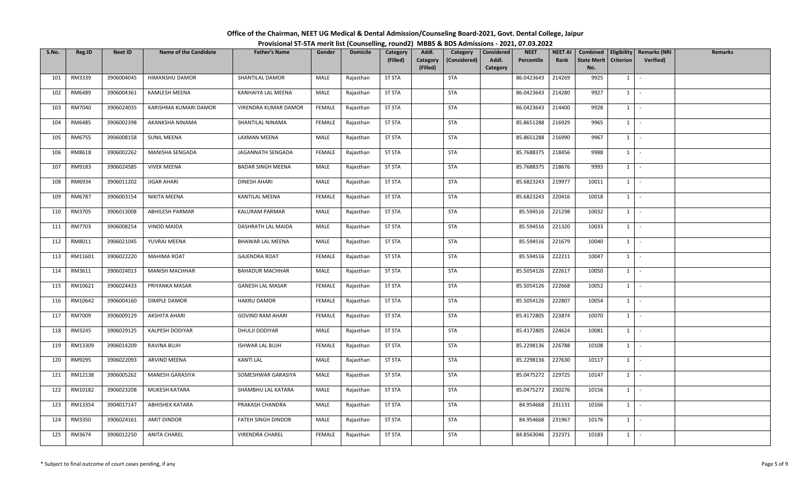| Office of the Chairman, NEET UG Medical & Dental Admission/Counseling Board-2021, Govt. Dental College, Jaipur |  |
|----------------------------------------------------------------------------------------------------------------|--|
| Provisional ST-STA merit list (Counselling, round2) MBBS & BDS Admissions - 2021, 07.03.2022                   |  |

| S.No. | Reg.ID  | <b>Neet ID</b> | <b>Name of the Candidate</b> | <b>Father's Name</b>     | Gender        | <b>Domicile</b> | <b>Category</b><br>(Filled) | Addl.                | Category<br>(Considered) | <b>Considered</b><br>Addl. | <b>NEET</b><br>Percentile | NEET AI<br>Rank | Combined<br><b>State Merit</b> | Eligibility<br><b>Criterion</b> | <b>Remarks (NRI</b><br><b>Verified)</b> | <b>Remarks</b> |
|-------|---------|----------------|------------------------------|--------------------------|---------------|-----------------|-----------------------------|----------------------|--------------------------|----------------------------|---------------------------|-----------------|--------------------------------|---------------------------------|-----------------------------------------|----------------|
|       |         |                |                              |                          |               |                 |                             | Category<br>(Filled) |                          | Category                   |                           |                 | No.                            |                                 |                                         |                |
| 101   | RM3339  | 3906004045     | HIMANSHU DAMOR               | SHANTILAL DAMOR          | MALE          | Rajasthan       | <b>ST STA</b>               |                      | <b>STA</b>               |                            | 86.0423643                | 214269          | 9925                           | 1                               | $\sim$                                  |                |
| 102   | RM6489  | 3906004361     | <b>KAMLESH MEENA</b>         | KANHAIYA LAL MEENA       | MALE          | Rajasthan       | <b>ST STA</b>               |                      | <b>STA</b>               |                            | 86.0423643                | 214280          | 9927                           | $1 \quad$                       | $\sim$                                  |                |
| 103   | RM7040  | 3906024035     | KARISHMA KUMARI DAMOR        | VIRENDRA KUMAR DAMOR     | <b>FEMALE</b> | Rajasthan       | <b>ST STA</b>               |                      | <b>STA</b>               |                            | 86.0423643                | 214400          | 9928                           | $1 \quad$                       | $\sim$                                  |                |
| 104   | RM6485  | 3906002398     | AKANKSHA NINAMA              | SHANTILAL NINAMA         | FEMALE        | Rajasthan       | <b>ST STA</b>               |                      | <b>STA</b>               |                            | 85.8651288                | 216929          | 9965                           |                                 | $1 \vert -$                             |                |
| 105   | RM6755  | 3906008158     | <b>SUNIL MEENA</b>           | LAXMAN MEENA             | MALE          | Rajasthan       | <b>ST STA</b>               |                      | <b>STA</b>               |                            | 85.8651288                | 216990          | 9967                           | 1                               | $\sim$                                  |                |
| 106   | RM8618  | 3906002262     | MANISHA SENGADA              | JAGANNATH SENGADA        | <b>FEMALE</b> | Rajasthan       | <b>ST STA</b>               |                      | <b>STA</b>               |                            | 85.7688375                | 218456          | 9988                           | $1 \mid$                        | $\sim$                                  |                |
| 107   | RM9183  | 3906024585     | <b>VIVEK MEENA</b>           | <b>BADAR SINGH MEENA</b> | MALE          | Rajasthan       | <b>ST STA</b>               |                      | <b>STA</b>               |                            | 85.7688375                | 218676          | 9993                           | $1 \quad$                       | $\sim$                                  |                |
| 108   | RM6934  | 3906011202     | <b>JIGAR AHARI</b>           | <b>DINESH AHARI</b>      | MALE          | Rajasthan       | <b>ST STA</b>               |                      | <b>STA</b>               |                            | 85.6823243                | 219977          | 10011                          | $1 \mid$                        | $\sim$ $-$                              |                |
| 109   | RM6787  | 3906003154     | NIKITA MEENA                 | KANTILAL MEENA           | <b>FEMALE</b> | Rajasthan       | <b>ST STA</b>               |                      | <b>STA</b>               |                            | 85.6823243                | 220416          | 10018                          | $1 \quad$                       | $\sim$                                  |                |
| 110   | RM3705  | 3906013008     | <b>ABHILESH PARMAR</b>       | KALURAM PARMAR           | MALE          | Rajasthan       | <b>ST STA</b>               |                      | <b>STA</b>               |                            | 85.594516                 | 221298          | 10032                          | $1 \vert$                       | $\sim$ $-$                              |                |
| 111   | RM7703  | 3906008254     | <b>VINOD MAIDA</b>           | DASHRATH LAL MAIDA       | MALE          | Rajasthan       | <b>ST STA</b>               |                      | <b>STA</b>               |                            | 85.594516                 | 221320          | 10033                          |                                 | $1$ $\vdots$                            |                |
| 112   | RM8011  | 3906021045     | YUVRAJ MEENA                 | <b>BHAWAR LAL MEENA</b>  | MALE          | Rajasthan       | <b>ST STA</b>               |                      | <b>STA</b>               |                            | 85.594516                 | 221679          | 10040                          | $1 \quad$                       | $\sim$                                  |                |
| 113   | RM11601 | 3906022220     | MAHIMA ROAT                  | <b>GAJENDRA ROAT</b>     | <b>FEMALE</b> | Rajasthan       | <b>ST STA</b>               |                      | <b>STA</b>               |                            | 85.594516                 | 222211          | 10047                          | 1                               | $\sim$                                  |                |
| 114   | RM3611  | 3906024013     | <b>MANISH MACHHAR</b>        | <b>BAHADUR MACHHAR</b>   | MALE          | Rajasthan       | <b>ST STA</b>               |                      | <b>STA</b>               |                            | 85.5054126                | 222617          | 10050                          | $1 \mid$                        | $\sim$                                  |                |
| 115   | RM10621 | 3906024433     | PRIYANKA MASAR               | <b>GANESH LAL MASAR</b>  | <b>FEMALE</b> | Rajasthan       | <b>ST STA</b>               |                      | <b>STA</b>               |                            | 85.5054126                | 222668          | 10052                          | 1                               | $\sim$                                  |                |
| 116   | RM10642 | 3906004160     | DIMPLE DAMOR                 | HAKRU DAMOR              | FEMALE        | Rajasthan       | <b>ST STA</b>               |                      | <b>STA</b>               |                            | 85.5054126                | 222807          | 10054                          | $1 \quad$                       | $\sim$                                  |                |
| 117   | RM7009  | 3906009129     | AKSHITA AHARI                | <b>GOVIND RAM AHARI</b>  | <b>FEMALE</b> | Rajasthan       | <b>ST STA</b>               |                      | <b>STA</b>               |                            | 85.4172805                | 223874          | 10070                          | 1                               | $\sim$ $-$                              |                |
| 118   | RM3245  | 3906029125     | KALPESH DODIYAR              | DHULJI DODIYAR           | MALE          | Rajasthan       | <b>ST STA</b>               |                      | <b>STA</b>               |                            | 85.4172805                | 224624          | 10081                          |                                 | $1$ $\vdots$                            |                |
| 119   | RM13309 | 3906014209     | RAVINA BUJH                  | ISHWAR LAL BUJH          | <b>FEMALE</b> | Rajasthan       | <b>ST STA</b>               |                      | <b>STA</b>               |                            | 85.2298136                | 226788          | 10108                          |                                 | $1 \mid -$                              |                |
| 120   | RM9295  | 3906022093     | ARVIND MEENA                 | <b>KANTI LAL</b>         | MALE          | Rajasthan       | <b>ST STA</b>               |                      | <b>STA</b>               |                            | 85.2298136                | 227630          | 10117                          | 1                               | $\sim$                                  |                |
| 121   | RM12138 | 3906005262     | MANESH GARASIYA              | SOMESHWAR GARASIYA       | MALE          | Rajasthan       | <b>ST STA</b>               |                      | <b>STA</b>               |                            | 85.0475272                | 229725          | 10147                          | 1                               | $\sim$                                  |                |
| 122   | RM10182 | 3906023208     | MUKESH KATARA                | SHAMBHU LAL KATARA       | MALE          | Rajasthan       | <b>ST STA</b>               |                      | <b>STA</b>               |                            | 85.0475272                | 230276          | 10156                          |                                 | $1 \cdot$                               |                |
| 123   | RM13354 | 3904017147     | ABHISHEK KATARA              | PRAKASH CHANDRA          | MALE          | Rajasthan       | <b>ST STA</b>               |                      | STA                      |                            | 84.954668                 | 231131          | 10166                          | 1                               | $\sim$                                  |                |
| 124   | RM3350  | 3906024161     | <b>AMIT DINDOR</b>           | FATEH SINGH DINDOR       | MALE          | Rajasthan       | <b>ST STA</b>               |                      | <b>STA</b>               |                            | 84.954668                 | 231967          | 10176                          | $1 \vert$                       | $\sim$ $-$                              |                |
| 125   | RM3674  | 3906012250     | <b>ANITA CHAREL</b>          | <b>VIRENDRA CHAREL</b>   | FEMALE        | Rajasthan       | <b>ST STA</b>               |                      | <b>STA</b>               |                            | 84.8563046                | 232371          | 10183                          | $1 \vert$                       | $\sim$                                  |                |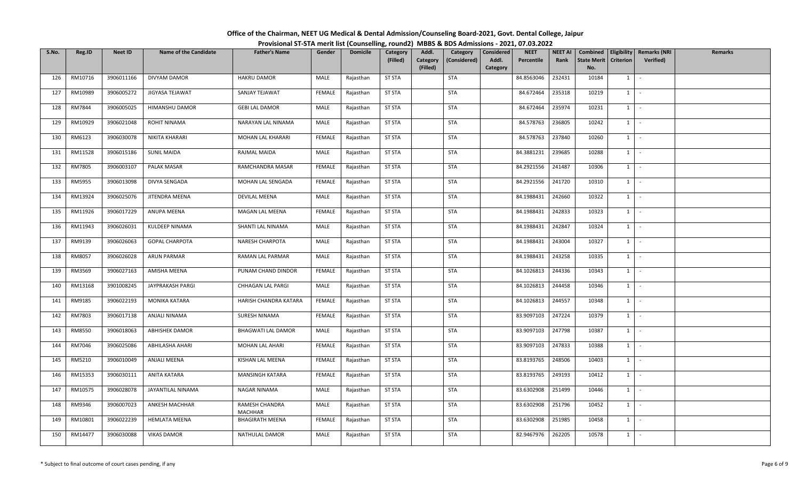| Office of the Chairman, NEET UG Medical & Dental Admission/Counseling Board-2021, Govt. Dental College, Jaipur |  |
|----------------------------------------------------------------------------------------------------------------|--|
| Provisional ST-STA merit list (Counselling, round2) MBBS & BDS Admissions - 2021, 07.03.2022                   |  |

| S.No. | Reg.ID  | <b>Neet ID</b> | <b>Name of the Candidate</b> | <b>Father's Name</b>             | Gender        | <b>Domicile</b> | <b>Category</b><br>(Filled) | Addl.                | Category<br>(Considered) | <b>Considered</b><br>Addl. | <b>NEET</b><br>Percentile | NEET AI<br>Rank | Combined<br><b>State Merit</b> | Eligibility<br><b>Criterion</b> | <b>Remarks (NRI</b> | <b>Remarks</b> |
|-------|---------|----------------|------------------------------|----------------------------------|---------------|-----------------|-----------------------------|----------------------|--------------------------|----------------------------|---------------------------|-----------------|--------------------------------|---------------------------------|---------------------|----------------|
|       |         |                |                              |                                  |               |                 |                             | Category<br>(Filled) |                          | Category                   |                           |                 | No.                            |                                 | <b>Verified)</b>    |                |
| 126   | RM10716 | 3906011166     | DIVYAM DAMOR                 | <b>HAKRU DAMOR</b>               | MALE          | Rajasthan       | <b>ST STA</b>               |                      | <b>STA</b>               |                            | 84.8563046                | 232431          | 10184                          | 1                               | $\sim$              |                |
| 127   | RM10989 | 3906005272     | JIGYASA TEJAWAT              | SANJAY TEJAWAT                   | <b>FEMALE</b> | Rajasthan       | <b>ST STA</b>               |                      | <b>STA</b>               |                            | 84.672464                 | 235318          | 10219                          | $1 \quad$                       | $\sim$              |                |
| 128   | RM7844  | 3906005025     | HIMANSHU DAMOR               | <b>GEBI LAL DAMOR</b>            | MALE          | Rajasthan       | <b>ST STA</b>               |                      | <b>STA</b>               |                            | 84.672464                 | 235974          | 10231                          | $1 \quad$                       | $\sim$              |                |
| 129   | RM10929 | 3906021048     | ROHIT NINAMA                 | NARAYAN LAL NINAMA               | MALE          | Rajasthan       | <b>ST STA</b>               |                      | <b>STA</b>               |                            | 84.578763                 | 236805          | 10242                          | $1 \vert -$                     |                     |                |
| 130   | RM6123  | 3906030078     | <b>NIKITA KHARARI</b>        | MOHAN LAL KHARARI                | <b>FEMALE</b> | Rajasthan       | <b>ST STA</b>               |                      | <b>STA</b>               |                            | 84.578763                 | 237840          | 10260                          | 1                               | $\sim$              |                |
| 131   | RM11528 | 3906015186     | <b>SUNIL MAIDA</b>           | RAJMAL MAIDA                     | MALE          | Rajasthan       | <b>ST STA</b>               |                      | <b>STA</b>               |                            | 84.3881231                | 239685          | 10288                          | $1 \mid$                        | $\sim$ $-$          |                |
| 132   | RM7805  | 3906003107     | PALAK MASAR                  | RAMCHANDRA MASAR                 | <b>FEMALE</b> | Rajasthan       | <b>ST STA</b>               |                      | <b>STA</b>               |                            | 84.2921556                | 241487          | 10306                          | $1 \quad$                       | $\sim$              |                |
| 133   | RM5955  | 3906013098     | DIVYA SENGADA                | MOHAN LAL SENGADA                | FEMALE        | Rajasthan       | <b>ST STA</b>               |                      | <b>STA</b>               |                            | 84.2921556                | 241720          | 10310                          | $1 \mid$                        | $\sim$              |                |
| 134   | RM13924 | 3906025076     | JITENDRA MEENA               | DEVILAL MEENA                    | MALE          | Rajasthan       | <b>ST STA</b>               |                      | <b>STA</b>               |                            | 84.1988431                | 242660          | 10322                          | $1 \quad$                       | $\sim$              |                |
| 135   | RM11926 | 3906017229     | ANUPA MEENA                  | MAGAN LAL MEENA                  | FEMALE        | Rajasthan       | <b>ST STA</b>               |                      | <b>STA</b>               |                            | 84.1988431                | 242833          | 10323                          | $1 \vert$                       | $\sim$ $-$          |                |
| 136   | RM11943 | 3906026031     | KULDEEP NINAMA               | SHANTI LAL NINAMA                | MALE          | Rajasthan       | <b>ST STA</b>               |                      | <b>STA</b>               |                            | 84.1988431                | 242847          | 10324                          | $1$ $-$                         |                     |                |
| 137   | RM9139  | 3906026063     | <b>GOPAL CHARPOTA</b>        | NARESH CHARPOTA                  | MALE          | Rajasthan       | <b>ST STA</b>               |                      | <b>STA</b>               |                            | 84.1988431                | 243004          | 10327                          | $1 \quad$                       | $\sim$              |                |
| 138   | RM8057  | 3906026028     | <b>ARUN PARMAR</b>           | RAMAN LAL PARMAR                 | MALE          | Rajasthan       | <b>ST STA</b>               |                      | <b>STA</b>               |                            | 84.1988431                | 243258          | 10335                          | 1                               | $\sim$              |                |
| 139   | RM3569  | 3906027163     | AMISHA MEENA                 | PUNAM CHAND DINDOR               | <b>FEMALE</b> | Rajasthan       | <b>ST STA</b>               |                      | <b>STA</b>               |                            | 84.1026813                | 244336          | 10343                          | $1 \quad$                       | $\sim$              |                |
| 140   | RM13168 | 3901008245     | JAYPRAKASH PARGI             | CHHAGAN LAL PARGI                | MALE          | Rajasthan       | <b>ST STA</b>               |                      | <b>STA</b>               |                            | 84.1026813                | 244458          | 10346                          | 1                               | $\sim$              |                |
| 141   | RM9185  | 3906022193     | MONIKA KATARA                | HARISH CHANDRA KATARA            | <b>FEMALE</b> | Rajasthan       | <b>ST STA</b>               |                      | <b>STA</b>               |                            | 84.1026813                | 244557          | 10348                          | $1 \quad$                       | $\sim$              |                |
| 142   | RM7803  | 3906017138     | ANJALI NINAMA                | SURESH NINAMA                    | <b>FEMALE</b> | Rajasthan       | <b>ST STA</b>               |                      | <b>STA</b>               |                            | 83.9097103                | 247224          | 10379                          | $1 \quad$                       | $\sim$ $-$          |                |
| 143   | RM8550  | 3906018063     | <b>ABHISHEK DAMOR</b>        | <b>BHAGWATI LAL DAMOR</b>        | MALE          | Rajasthan       | <b>ST STA</b>               |                      | <b>STA</b>               |                            | 83.9097103                | 247798          | 10387                          | $1 \mid$                        | $\sim$              |                |
| 144   | RM7046  | 3906025086     | ABHILASHA AHARI              | MOHAN LAL AHARI                  | <b>FEMALE</b> | Rajasthan       | <b>ST STA</b>               |                      | <b>STA</b>               |                            | 83.9097103                | 247833          | 10388                          | $1 \vert$                       | $\sim$ $-$          |                |
| 145   | RM5210  | 3906010049     | ANJALI MEENA                 | KISHAN LAL MEENA                 | FEMALE        | Rajasthan       | <b>ST STA</b>               |                      | <b>STA</b>               |                            | 83.8193765                | 248506          | 10403                          | $1 \quad$                       | $\sim$              |                |
| 146   | RM15353 | 3906030111     | ANITA KATARA                 | MANSINGH KATARA                  | <b>FEMALE</b> | Rajasthan       | <b>ST STA</b>               |                      | <b>STA</b>               |                            | 83.8193765                | 249193          | 10412                          | 1                               | $\sim$              |                |
| 147   | RM10575 | 3906028078     | JAYANTILAL NINAMA            | NAGAR NINAMA                     | MALE          | Rajasthan       | <b>ST STA</b>               |                      | STA                      |                            | 83.6302908                | 251499          | 10446                          | $1 \cdot$                       |                     |                |
| 148   | RM9346  | 3906007023     | ANKESH MACHHAR               | RAMESH CHANDRA<br><b>MACHHAR</b> | MALE          | Rajasthan       | <b>ST STA</b>               |                      | <b>STA</b>               |                            | 83.6302908                | 251796          | 10452                          | 1                               | $\sim$              |                |
| 149   | RM10801 | 3906022239     | <b>HEMLATA MEENA</b>         | <b>BHAGIRATH MEENA</b>           | FEMALE        | Rajasthan       | <b>ST STA</b>               |                      | <b>STA</b>               |                            | 83.6302908                | 251985          | 10458                          | $1 \quad$                       | $\sim$ $-$          |                |
| 150   | RM14477 | 3906030088     | <b>VIKAS DAMOR</b>           | NATHULAL DAMOR                   | MALE          | Rajasthan       | <b>ST STA</b>               |                      | <b>STA</b>               |                            | 82.9467976                | 262205          | 10578                          | $1 \quad$                       | $\sim$              |                |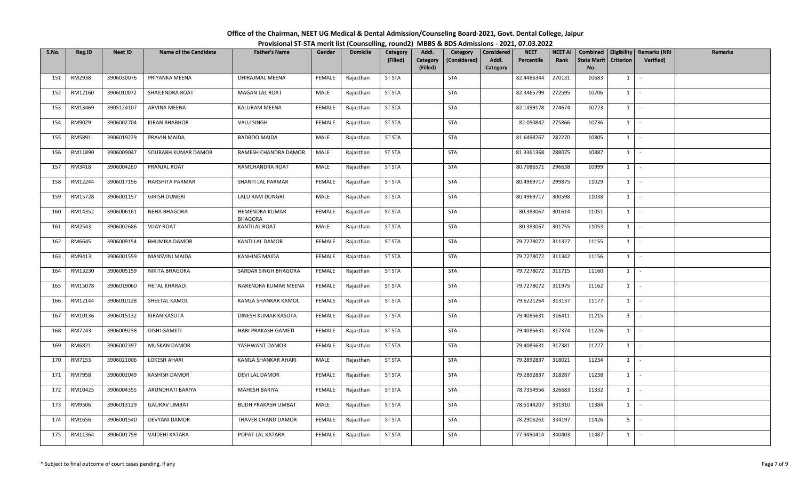| Office of the Chairman, NEET UG Medical & Dental Admission/Counseling Board-2021, Govt. Dental College, Jaipur |  |  |
|----------------------------------------------------------------------------------------------------------------|--|--|
| Provisional ST-STA merit list (Counselling, round2) MBBS & BDS Admissions - 2021, 07.03.2022                   |  |  |

| S.No. | Reg.ID  | <b>Neet ID</b> | <b>Name of the Candidate</b> | <b>Father's Name</b>             | Gender        | <b>Domicile</b> | Category      | Addl.                | Category     | Considered        | <b>NEET</b> | <b>NEET AI</b> | Combined                  |                  | Eligibility   Remarks (NRI | <b>Remarks</b> |
|-------|---------|----------------|------------------------------|----------------------------------|---------------|-----------------|---------------|----------------------|--------------|-------------------|-------------|----------------|---------------------------|------------------|----------------------------|----------------|
|       |         |                |                              |                                  |               |                 | (Filled)      | Category<br>(Filled) | (Considered) | Addl.<br>Category | Percentile  | Rank           | <b>State Merit</b><br>No. | <b>Criterion</b> | <b>Verified</b> )          |                |
| 151   | RM2938  | 3906030076     | PRIYANKA MEENA               | DHIRAJMAL MEENA                  | FEMALE        | Rajasthan       | <b>ST STA</b> |                      | <b>STA</b>   |                   | 82.4486344  | 270131         | 10683                     | 1                | $\sim$                     |                |
| 152   | RM12160 | 3906010072     | SHAILENDRA ROAT              | MAGAN LAL ROAT                   | MALE          | Rajasthan       | <b>ST STA</b> |                      | <b>STA</b>   |                   | 82.3465799  | 272595         | 10706                     | $1 \quad$        | $\sim$                     |                |
| 153   | RM13469 | 3905124107     | ARVINA MEENA                 | KALURAM MEENA                    | <b>FEMALE</b> | Rajasthan       | <b>ST STA</b> |                      | <b>STA</b>   |                   | 82.1499178  | 274674         | 10723                     | $1 \mid$         | $\sim$ $-$                 |                |
| 154   | RM9029  | 3906002704     | <b>KIRAN BHABHOR</b>         | VALU SINGH                       | FEMALE        | Rajasthan       | <b>ST STA</b> |                      | <b>STA</b>   |                   | 82.050842   | 275866         | 10736                     | $1$ $-$          |                            |                |
| 155   | RM5891  | 3906019229     | PRAVIN MAIDA                 | <b>BADROO MAIDA</b>              | MALE          | Rajasthan       | <b>ST STA</b> |                      | <b>STA</b>   |                   | 81.6498767  | 282270         | 10805                     | 1                | $\sim$                     |                |
| 156   | RM11890 | 3906009047     | SOURABH KUMAR DAMOR          | RAMESH CHANDRA DAMOR             | MALE          | Rajasthan       | <b>ST STA</b> |                      | <b>STA</b>   |                   | 81.3361368  | 288075         | 10887                     | 1                | $\sim$                     |                |
| 157   | RM3418  | 3906004260     | PRANJAL ROAT                 | RAMCHANDRA ROAT                  | MALE          | Rajasthan       | <b>ST STA</b> |                      | STA          |                   | 80.7086571  | 296638         | 10999                     | $1 \vert$        | $\sim$                     |                |
| 158   | RM12244 | 3906017156     | <b>HARSHITA PARMAR</b>       | SHANTI LAL PARMAR                | <b>FEMALE</b> | Rajasthan       | <b>ST STA</b> |                      | <b>STA</b>   |                   | 80.4969717  | 299875         | 11029                     | 1                | $\sim$ $-$                 |                |
| 159   | RM15728 | 3906001157     | <b>GIRISH DUNGRI</b>         | LALU RAM DUNGRI                  | MALE          | Rajasthan       | <b>ST STA</b> |                      | <b>STA</b>   |                   | 80.4969717  | 300598         | 11038                     | $1$ $\vdots$     |                            |                |
| 160   | RM14352 | 3906006161     | NEHA BHAGORA                 | HEMENDRA KUMAR<br><b>BHAGORA</b> | FEMALE        | Rajasthan       | <b>ST STA</b> |                      | <b>STA</b>   |                   | 80.383067   | 301614         | 11051                     | $1 \quad$        | $\sim$                     |                |
| 161   | RM2543  | 3906002686     | <b>VIJAY ROAT</b>            | <b>KANTILAL ROAT</b>             | MALE          | Rajasthan       | <b>ST STA</b> |                      | <b>STA</b>   |                   | 80.383067   | 301755         | 11053                     | $1$ $-$          |                            |                |
| 162   | RM6645  | 3906009154     | <b>BHUMIKA DAMOR</b>         | KANTI LAL DAMOR                  | <b>FEMALE</b> | Rajasthan       | <b>ST STA</b> |                      | <b>STA</b>   |                   | 79.7278072  | 311327         | 11155                     | $1\phantom{0}$   | $\sim$                     |                |
| 163   | RM9413  | 3906001559     | MANSVINI MAIDA               | <b>KANHING MAIDA</b>             | <b>FEMALE</b> | Rajasthan       | <b>ST STA</b> |                      | <b>STA</b>   |                   | 79.7278072  | 311342         | 11156                     | 1                | $\sim$                     |                |
| 164   | RM13230 | 3906005159     | <b>NIKITA BHAGORA</b>        | SARDAR SINGH BHAGORA             | <b>FEMALE</b> | Rajasthan       | <b>ST STA</b> |                      | <b>STA</b>   |                   | 79.7278072  | 311715         | 11160                     | $1 \quad$        | $\sim$                     |                |
| 165   | RM15078 | 3906019060     | <b>HETAL KHARADI</b>         | NARENDRA KUMAR MEENA             | FEMALE        | Rajasthan       | <b>ST STA</b> |                      | STA          |                   | 79.7278072  | 311975         | 11162                     | $1 \quad$        | $\sim$                     |                |
| 166   | RM12144 | 3906010128     | SHEETAL KAMOL                | KAMLA SHANKAR KAMOL              | FEMALE        | Rajasthan       | <b>ST STA</b> |                      | <b>STA</b>   |                   | 79.6221264  | 313137         | 11177                     | $1 \quad$        | $\sim$ $-$                 |                |
| 167   | RM10136 | 3906015132     | <b>KIRAN KASOTA</b>          | DINESH KUMAR KASOTA              | FEMALE        | Rajasthan       | <b>ST STA</b> |                      | <b>STA</b>   |                   | 79.4085631  | 316411         | 11215                     | 3 <sup>1</sup>   | $\sim$                     |                |
| 168   | RM7243  | 3906009238     | DISHI GAMETI                 | HARI PRAKASH GAMETI              | FEMALE        | Rajasthan       | <b>ST STA</b> |                      | <b>STA</b>   |                   | 79.4085631  | 317374         | 11226                     | 1                | $\sim$                     |                |
| 169   | RM6821  | 3906002397     | <b>MUSKAN DAMOR</b>          | YASHWANT DAMOR                   | FEMALE        | Rajasthan       | <b>ST STA</b> |                      | <b>STA</b>   |                   | 79.4085631  | 317381         | 11227                     |                  | $1 \cdot$                  |                |
| 170   | RM7153  | 3906021006     | <b>LOKESH AHARI</b>          | KAMLA SHANKAR AHARI              | MALE          | Rajasthan       | <b>ST STA</b> |                      | <b>STA</b>   |                   | 79.2892837  | 318021         | 11234                     | $1 \vert$        | $\sim$                     |                |
| 171   | RM7958  | 3906002049     | <b>KASHISH DAMOR</b>         | DEVI LAL DAMOR                   | <b>FEMALE</b> | Rajasthan       | <b>ST STA</b> |                      | <b>STA</b>   |                   | 79.2892837  | 318287         | 11238                     |                  | $1 \mid -$                 |                |
| 172   | RM10425 | 3906004355     | ARUNDHATI BARIYA             | MAHESH BARIYA                    | FEMALE        | Rajasthan       | <b>ST STA</b> |                      | <b>STA</b>   |                   | 78.7354956  | 326683         | 11332                     | $1 \mid$         | $\sim$                     |                |
| 173   | RM9506  | 3906013129     | <b>GAURAV LIMBAT</b>         | <b>BUDH PRAKASH LIMBAT</b>       | MALE          | Rajasthan       | <b>ST STA</b> |                      | STA          |                   | 78.5144207  | 331310         | 11384                     | $1 \quad$        | $\sim$                     |                |
| 174   | RM1656  | 3906001540     | DEVYANI DAMOR                | THAVER CHAND DAMOR               | FEMALE        | Rajasthan       | <b>ST STA</b> |                      | STA          |                   | 78.2906261  | 334197         | 11426                     | 5 <sub>1</sub>   | $\sim$                     |                |
| 175   | RM11364 | 3906001759     | VAIDEHI KATARA               | POPAT LAL KATARA                 | <b>FEMALE</b> | Rajasthan       | <b>ST STA</b> |                      | <b>STA</b>   |                   | 77.9490414  | 340403         | 11487                     | $1 \quad$        | $\sim$                     |                |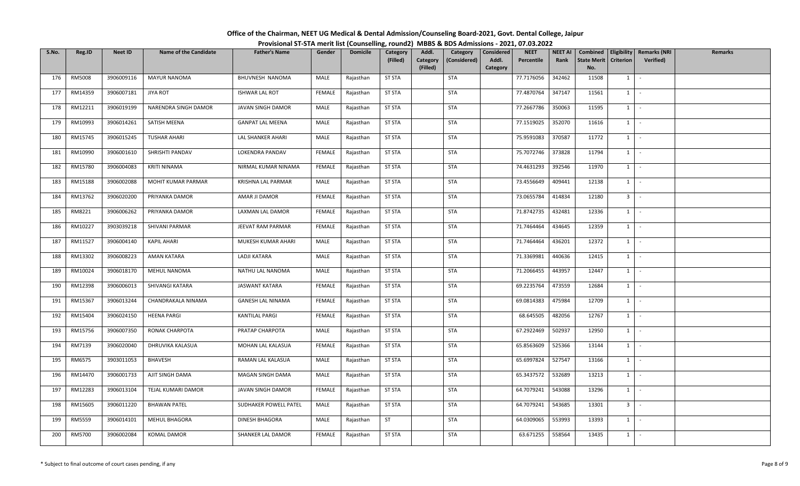| Office of the Chairman, NEET UG Medical & Dental Admission/Counseling Board-2021, Govt. Dental College, Jaipur |  |
|----------------------------------------------------------------------------------------------------------------|--|
| Provisional ST-STA merit list (Counselling, round2) MBBS & BDS Admissions - 2021, 07.03.2022                   |  |

| S.No. | Reg.ID  | <b>Neet ID</b> | <b>Name of the Candidate</b> | <b>Father's Name</b>     | Gender        | <b>Domicile</b> | <b>Category</b><br>(Filled) | Addl.<br>Category | Category<br>(Considered) | <b>Considered</b><br>Addl. | <b>NEET</b><br>Percentile | NEET AI<br>Rank | Combined<br><b>State Merit</b> | Eligibility<br><b>Criterion</b> | <b>Remarks (NRI</b><br><b>Verified)</b> | <b>Remarks</b> |
|-------|---------|----------------|------------------------------|--------------------------|---------------|-----------------|-----------------------------|-------------------|--------------------------|----------------------------|---------------------------|-----------------|--------------------------------|---------------------------------|-----------------------------------------|----------------|
|       |         |                |                              |                          |               |                 |                             | (Filled)          |                          | Category                   |                           |                 | No.                            |                                 |                                         |                |
| 176   | RM5008  | 3906009116     | <b>MAYUR NANOMA</b>          | BHUVNESH NANOMA          | MALE          | Rajasthan       | <b>ST STA</b>               |                   | <b>STA</b>               |                            | 77.7176056                | 342462          | 11508                          | 1                               | $\sim$                                  |                |
| 177   | RM14359 | 3906007181     | <b>JIYA ROT</b>              | <b>ISHWAR LAL ROT</b>    | <b>FEMALE</b> | Rajasthan       | <b>ST STA</b>               |                   | <b>STA</b>               |                            | 77.4870764                | 347147          | 11561                          | $1 \quad$                       | $\sim$                                  |                |
| 178   | RM12211 | 3906019199     | NARENDRA SINGH DAMOR         | JAVAN SINGH DAMOR        | MALE          | Rajasthan       | <b>ST STA</b>               |                   | <b>STA</b>               |                            | 77.2667786                | 350063          | 11595                          | $1 \quad$                       | $\sim$                                  |                |
| 179   | RM10993 | 3906014261     | SATISH MEENA                 | <b>GANPAT LAL MEENA</b>  | MALE          | Rajasthan       | <b>ST STA</b>               |                   | <b>STA</b>               |                            | 77.1519025                | 352070          | 11616                          | $1 \vert -$                     |                                         |                |
| 180   | RM15745 | 3906015245     | <b>TUSHAR AHARI</b>          | LAL SHANKER AHARI        | MALE          | Rajasthan       | <b>ST STA</b>               |                   | <b>STA</b>               |                            | 75.9591083                | 370587          | 11772                          | 1                               | $\sim$                                  |                |
| 181   | RM10990 | 3906001610     | SHRISHTI PANDAV              | LOKENDRA PANDAV          | <b>FEMALE</b> | Rajasthan       | <b>ST STA</b>               |                   | <b>STA</b>               |                            | 75.7072746                | 373828          | 11794                          | $1 \mid$                        | $\sim$                                  |                |
| 182   | RM15780 | 3906004083     | <b>KRITI NINAMA</b>          | NIRMAL KUMAR NINAMA      | <b>FEMALE</b> | Rajasthan       | <b>ST STA</b>               |                   | <b>STA</b>               |                            | 74.4631293                | 392546          | 11970                          | $1 \vert$                       | $\sim$                                  |                |
| 183   | RM15188 | 3906002088     | MOHIT KUMAR PARMAR           | KRISHNA LAL PARMAR       | MALE          | Rajasthan       | <b>ST STA</b>               |                   | <b>STA</b>               |                            | 73.4556649                | 409441          | 12138                          | $1 \mid$                        | $\sim$                                  |                |
| 184   | RM13762 | 3906020200     | PRIYANKA DAMOR               | AMAR JI DAMOR            | <b>FEMALE</b> | Rajasthan       | <b>ST STA</b>               |                   | <b>STA</b>               |                            | 73.0655784                | 414834          | 12180                          | 3 <sup>1</sup>                  | $\sim$                                  |                |
| 185   | RM8221  | 3906006262     | PRIYANKA DAMOR               | LAXMAN LAL DAMOR         | <b>FEMALE</b> | Rajasthan       | <b>ST STA</b>               |                   | <b>STA</b>               |                            | 71.8742735                | 432481          | 12336                          | $1 \quad$                       | $\sim$ $-$                              |                |
| 186   | RM10227 | 3903039218     | SHIVANI PARMAR               | JEEVAT RAM PARMAR        | <b>FEMALE</b> | Rajasthan       | <b>ST STA</b>               |                   | <b>STA</b>               |                            | 71.7464464                | 434645          | 12359                          | $1$ $-$                         |                                         |                |
| 187   | RM11527 | 3906004140     | <b>KAPIL AHARI</b>           | MUKESH KUMAR AHARI       | MALE          | Rajasthan       | <b>ST STA</b>               |                   | <b>STA</b>               |                            | 71.7464464                | 436201          | 12372                          | $1 \quad$                       | $\sim$                                  |                |
| 188   | RM13302 | 3906008223     | AMAN KATARA                  | LADJI KATARA             | MALE          | Rajasthan       | <b>ST STA</b>               |                   | <b>STA</b>               |                            | 71.3369981                | 440636          | 12415                          | 1                               | $\sim$                                  |                |
| 189   | RM10024 | 3906018170     | MEHUL NANOMA                 | NATHU LAL NANOMA         | MALE          | Rajasthan       | <b>ST STA</b>               |                   | <b>STA</b>               |                            | 71.2066455                | 443957          | 12447                          | $1 \mid$                        | $\sim$                                  |                |
| 190   | RM12398 | 3906006013     | SHIVANGI KATARA              | <b>JASWANT KATARA</b>    | <b>FEMALE</b> | Rajasthan       | <b>ST STA</b>               |                   | <b>STA</b>               |                            | 69.2235764                | 473559          | 12684                          | 1                               | $\sim$                                  |                |
| 191   | RM15367 | 3906013244     | CHANDRAKALA NINAMA           | <b>GANESH LAL NINAMA</b> | FEMALE        | Rajasthan       | <b>ST STA</b>               |                   | <b>STA</b>               |                            | 69.0814383                | 475984          | 12709                          | $1 \quad$                       | $\sim$                                  |                |
| 192   | RM15404 | 3906024150     | <b>HEENA PARGI</b>           | <b>KANTILAL PARGI</b>    | <b>FEMALE</b> | Rajasthan       | <b>ST STA</b>               |                   | <b>STA</b>               |                            | 68.645505                 | 482056          | 12767                          | $1 \quad$                       | $\sim$ $-$                              |                |
| 193   | RM15756 | 3906007350     | RONAK CHARPOTA               | PRATAP CHARPOTA          | MALE          | Rajasthan       | <b>ST STA</b>               |                   | <b>STA</b>               |                            | 67.2922469                | 502937          | 12950                          | $1$ $\vdots$                    |                                         |                |
| 194   | RM7139  | 3906020040     | DHRUVIKA KALASUA             | MOHAN LAL KALASUA        | <b>FEMALE</b> | Rajasthan       | <b>ST STA</b>               |                   | <b>STA</b>               |                            | 65.8563609                | 525366          | 13144                          | $1 \vert$                       | $\sim$ $-$                              |                |
| 195   | RM6575  | 3903011053     | BHAVESH                      | RAMAN LAL KALASUA        | MALE          | Rajasthan       | <b>ST STA</b>               |                   | <b>STA</b>               |                            | 65.6997824                | 527547          | 13166                          | 1                               | $\sim$                                  |                |
| 196   | RM14470 | 3906001733     | AJIT SINGH DAMA              | MAGAN SINGH DAMA         | MALE          | Rajasthan       | <b>ST STA</b>               |                   | <b>STA</b>               |                            | 65.3437572                | 532689          | 13213                          | $1 \quad$                       | $\sim$                                  |                |
| 197   | RM12283 | 3906013104     | TEJAL KUMARI DAMOR           | JAVAN SINGH DAMOR        | <b>FEMALE</b> | Rajasthan       | <b>ST STA</b>               |                   | STA                      |                            | 64.7079241                | 543088          | 13296                          | $1 \cdot$                       |                                         |                |
| 198   | RM15605 | 3906011220     | <b>BHAWAN PATEL</b>          | SUDHAKER POWELL PATEL    | MALE          | Rajasthan       | <b>ST STA</b>               |                   | <b>STA</b>               |                            | 64.7079241                | 543685          | 13301                          | 3 <sup>1</sup>                  | $\sim$                                  |                |
| 199   | RM5559  | 3906014101     | MEHUL BHAGORA                | DINESH BHAGORA           | MALE          | Rajasthan       | <b>ST</b>                   |                   | <b>STA</b>               |                            | 64.0309065                | 553993          | 13393                          | $1 \vert$                       | $\sim$ $-$                              |                |
| 200   | RM5700  | 3906002084     | KOMAL DAMOR                  | SHANKER LAL DAMOR        | FEMALE        | Rajasthan       | <b>ST STA</b>               |                   | <b>STA</b>               |                            | 63.671255                 | 558564          | 13435                          | $1 \quad$                       | $\sim$                                  |                |